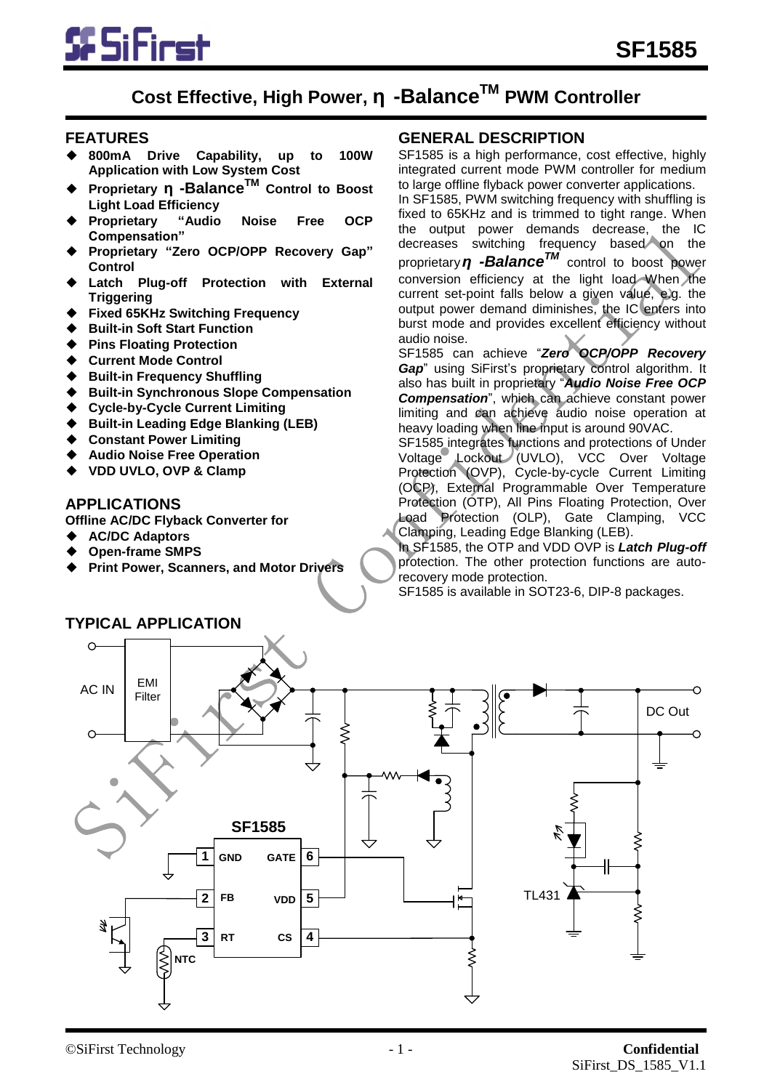

# **Cost Effective, High Power, η -BalanceTM PWM Controller**

#### **FEATURES**

- ◆ **800mA Drive Capability, up to 100W Application with Low System Cost**
- ◆ **Proprietary η -BalanceTM Control to Boost Light Load Efficiency**
- ◆ **Proprietary "Audio Noise Free OCP Compensation"**
- ◆ **Proprietary "Zero OCP/OPP Recovery Gap" Control**
- **Latch Plug-off Protection with External Triggering**
- **Fixed 65KHz Switching Frequency**
- **Built-in Soft Start Function**
- **Pins Floating Protection**
- **Current Mode Control**
- **Built-in Frequency Shuffling**
- **Built-in Synchronous Slope Compensation**
- **Cycle-by-Cycle Current Limiting**
- **Built-in Leading Edge Blanking (LEB)**
- **Constant Power Limiting**
- **Audio Noise Free Operation**
- **VDD UVLO, OVP & Clamp**

#### **APPLICATIONS**

- **Offline AC/DC Flyback Converter for**
- ◆ **AC/DC Adaptors**
- ◆ **Open-frame SMPS**
- **Print Power, Scanners, and Motor Drivers**

#### **GENERAL DESCRIPTION**

SF1585 is a high performance, cost effective, highly integrated current mode PWM controller for medium to large offline flyback power converter applications. In SF1585, PWM switching frequency with shuffling is fixed to 65KHz and is trimmed to tight range. When the output power demands decrease, the IC decreases switching frequency based on the proprietary*η -BalanceTM* control to boost power conversion efficiency at the light load When the current set-point falls below a given value, e.g. the output power demand diminishes, the IC enters into burst mode and provides excellent efficiency without

audio noise. SF1585 can achieve "*Zero OCP/OPP Recovery Gap*" using SiFirst's proprietary control algorithm. It also has built in proprietary "*Audio Noise Free OCP Compensation*", which can achieve constant power limiting and can achieve audio noise operation at heavy loading when line input is around 90VAC.

SF1585 integrates functions and protections of Under Voltage Lockout (UVLO), VCC Over Voltage Protection (OVP), Cycle-by-cycle Current Limiting (OCP), External Programmable Over Temperature Protection (OTP), All Pins Floating Protection, Over Load Protection (OLP), Gate Clamping, VCC Clamping, Leading Edge Blanking (LEB).

In SF1585, the OTP and VDD OVP is *Latch Plug-off*  protection. The other protection functions are autorecovery mode protection.

SF1585 is available in SOT23-6, DIP-8 packages.



# **TYPICAL APPLICATION**

#### ©SiFirst Technology - 1 - **Confidential** SiFirst\_DS\_1585\_V1.1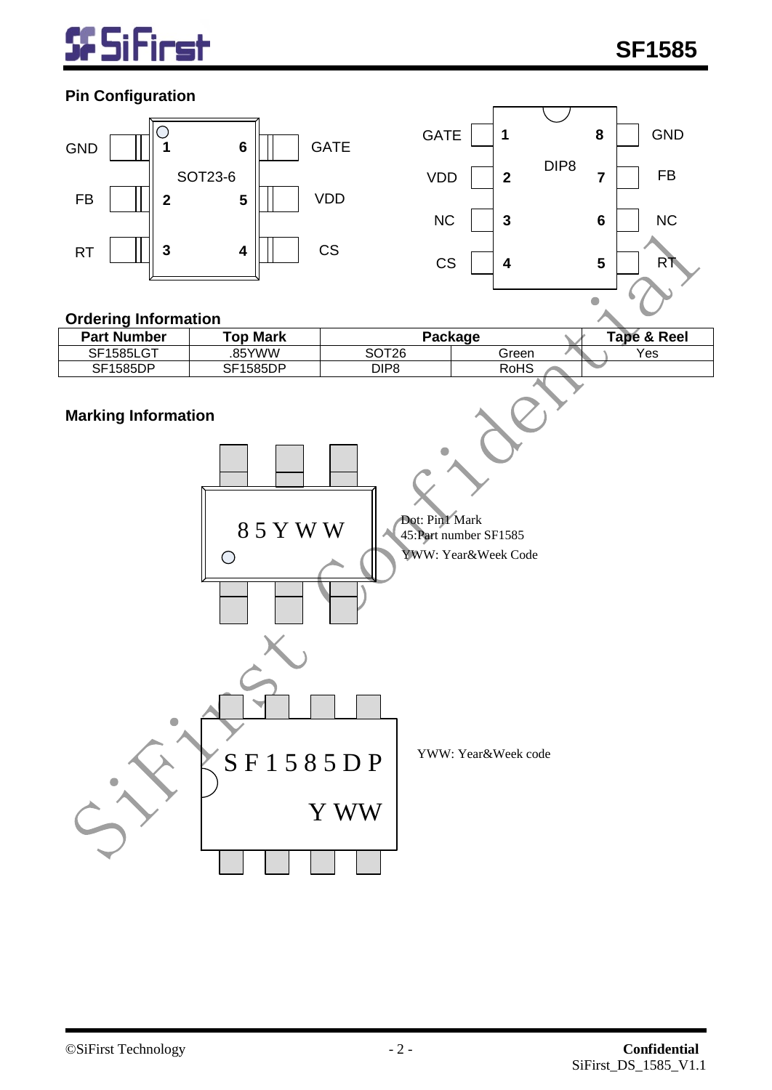

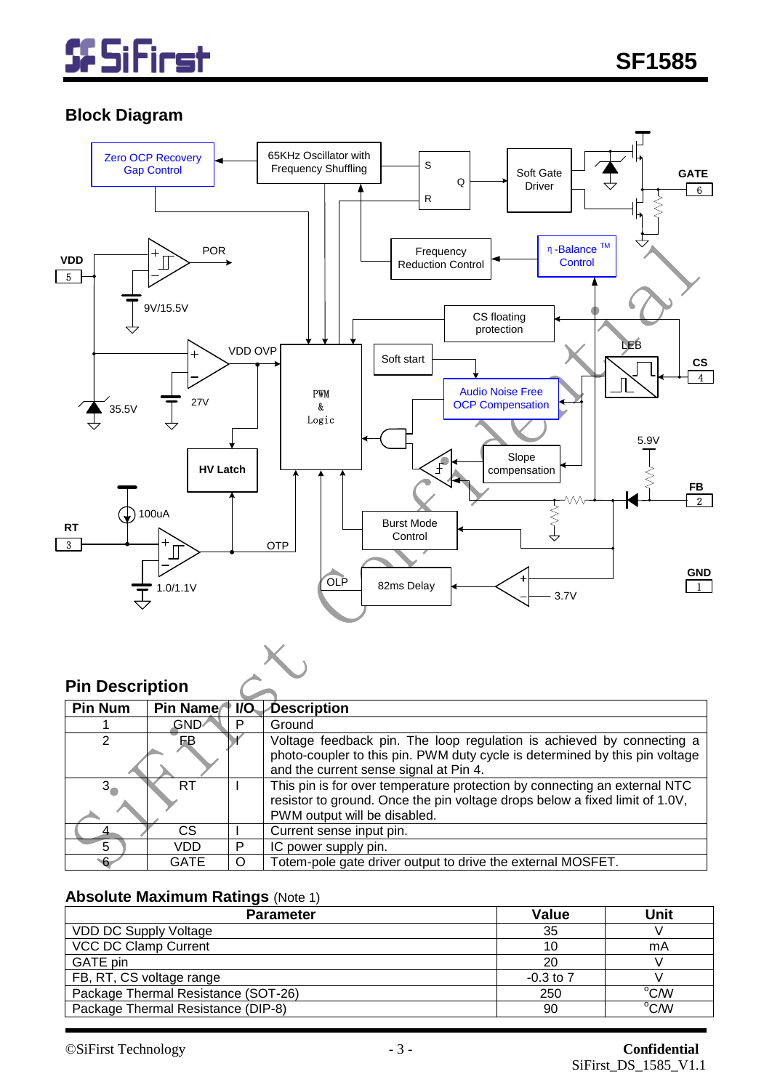

# **Block Diagram**



### **Pin Description**

| <b>Pin Num</b> | Pin Name <sup>1</sup> I/O |         | Description                                                                 |
|----------------|---------------------------|---------|-----------------------------------------------------------------------------|
|                | GND∕                      |         | Ground                                                                      |
| 2              | FВ                        |         | Voltage feedback pin. The loop regulation is achieved by connecting a       |
|                |                           |         | photo-coupler to this pin. PWM duty cycle is determined by this pin voltage |
|                |                           |         | and the current sense signal at Pin 4.                                      |
| $3_{-}$        | RT                        |         | This pin is for over temperature protection by connecting an external NTC   |
|                |                           |         | resistor to ground. Once the pin voltage drops below a fixed limit of 1.0V, |
|                |                           |         | PWM output will be disabled.                                                |
|                | <sub>CS</sub>             |         | Current sense input pin.                                                    |
| 5              | VDD                       | P       | IC power supply pin.                                                        |
| -6             | GATE                      | $\circ$ | Totem-pole gate driver output to drive the external MOSFET.                 |

# **Absolute Maximum Ratings** (Note 1)

| <b>Parameter</b>                    | <b>Value</b>  | <b>Unit</b> |
|-------------------------------------|---------------|-------------|
| <b>VDD DC Supply Voltage</b>        | 35            |             |
| <b>VCC DC Clamp Current</b>         | 10            | mA          |
| GATE pin                            | 20            |             |
| FB, RT, CS voltage range            | $-0.3$ to $7$ |             |
| Package Thermal Resistance (SOT-26) | 250           | °C/W        |
| Package Thermal Resistance (DIP-8)  | 90            | °C/W        |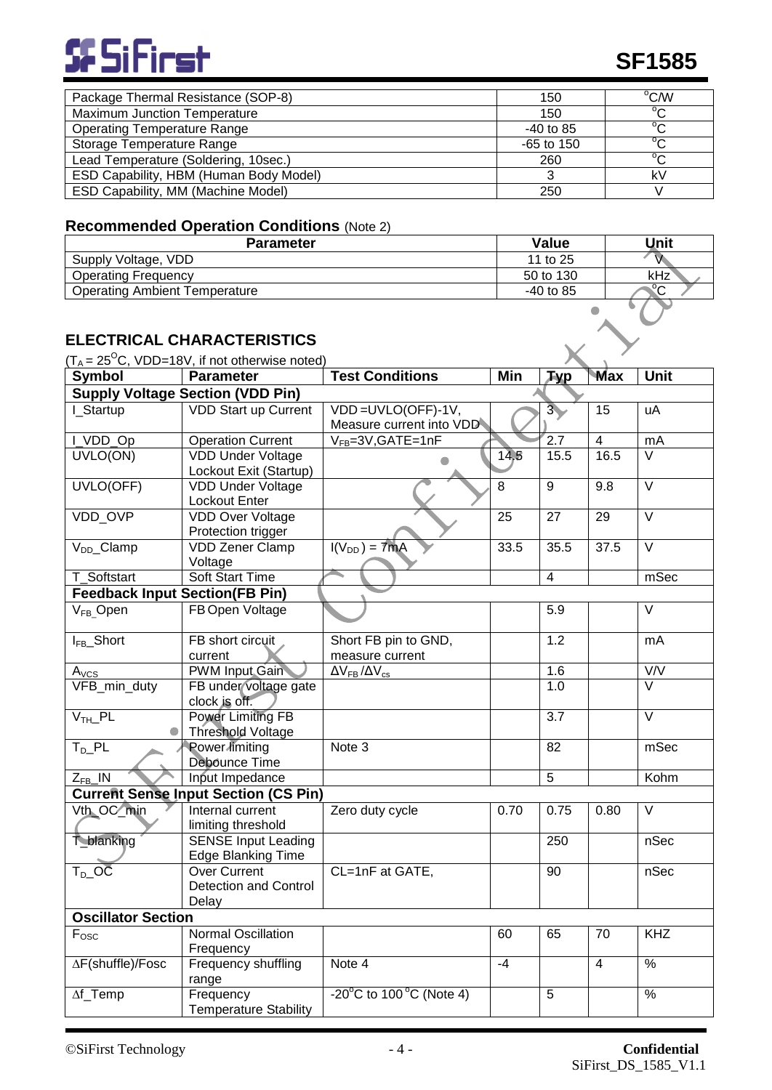

| Package Thermal Resistance (SOP-8)     | 150          | °C/W                   |
|----------------------------------------|--------------|------------------------|
| <b>Maximum Junction Temperature</b>    | 150          | $\mathcal{O}_{\Omega}$ |
| <b>Operating Temperature Range</b>     | $-40$ to 85  | $\sim$                 |
| Storage Temperature Range              | $-65$ to 150 | $\sim$                 |
| Lead Temperature (Soldering, 10sec.)   | 260          | $\sim$                 |
| ESD Capability, HBM (Human Body Model) |              | k٧                     |
| ESD Capability, MM (Machine Model)     | 250          |                        |

# **Recommended Operation Conditions** (Note 2)

| <b>Parameter</b>                     | <b>Value</b> | Unit        |
|--------------------------------------|--------------|-------------|
| Supply Voltage, VDD                  | 11 to 25     |             |
| <b>Operating Frequency</b>           | 50 to 130    | kHz         |
| <b>Operating Ambient Temperature</b> | -40 to 85    | $\sim$<br>◡ |
|                                      |              |             |

# **ELECTRICAL CHARACTERISTICS**

| $(T_A = 25^{\circ}\text{C}, \text{ VDD=18V}, \text{ if not otherwise noted})$ |                                             |                                              |                 |                  |                   |                         |  |  |
|-------------------------------------------------------------------------------|---------------------------------------------|----------------------------------------------|-----------------|------------------|-------------------|-------------------------|--|--|
| <b>Symbol</b>                                                                 | <b>Parameter</b>                            | <b>Test Conditions</b>                       | Min             | <b>Typ</b>       | Max               | Unit                    |  |  |
| <b>Supply Voltage Section (VDD Pin)</b>                                       |                                             |                                              |                 |                  |                   |                         |  |  |
| I Startup                                                                     | <b>VDD Start up Current</b>                 | VDD=UVLO(OFF)-1V,                            |                 | 3 <sub>1</sub>   | $\overline{15}$   | uA                      |  |  |
|                                                                               |                                             | Measure current into VDD                     |                 |                  |                   |                         |  |  |
| I_VDD_Op                                                                      | <b>Operation Current</b>                    | V <sub>FB</sub> =3V, GATE=1nF                |                 | $\overline{2.7}$ | $\overline{4}$    | mA                      |  |  |
| UVLO(ON)                                                                      | <b>VDD Under Voltage</b>                    |                                              | 14.5            | 15.5             | 16.5              | $\overline{\vee}$       |  |  |
|                                                                               | Lockout Exit (Startup)                      |                                              |                 |                  |                   |                         |  |  |
| UVLO(OFF)                                                                     | <b>VDD Under Voltage</b>                    |                                              | $\overline{8}$  | $\overline{9}$   | 9.8               | $\overline{\vee}$       |  |  |
|                                                                               | Lockout Enter                               |                                              |                 |                  |                   |                         |  |  |
| VDD_OVP                                                                       | <b>VDD Over Voltage</b>                     |                                              | $\overline{25}$ | $\overline{27}$  | $\overline{29}$   | $\overline{\vee}$       |  |  |
|                                                                               | Protection trigger                          |                                              | 33.5            | 35.5             |                   | $\overline{\vee}$       |  |  |
| V <sub>DD</sub> _Clamp                                                        | <b>VDD Zener Clamp</b>                      | $\overline{I(V_{DD})} = 7mA$                 |                 |                  | $\overline{37.5}$ |                         |  |  |
| T_Softstart                                                                   | Voltage<br><b>Soft Start Time</b>           |                                              |                 | $\overline{4}$   |                   | mSec                    |  |  |
| <b>Feedback Input Section(FB Pin)</b>                                         |                                             |                                              |                 |                  |                   |                         |  |  |
|                                                                               | FB Open Voltage                             |                                              |                 |                  |                   | $\overline{\vee}$       |  |  |
| $V_{FB}$ Open                                                                 |                                             |                                              |                 | 5.9              |                   |                         |  |  |
| I <sub>FB</sub> _Short                                                        | FB short circuit                            | Short FB pin to GND,                         |                 | 1.2              |                   | mA                      |  |  |
|                                                                               | current                                     | measure current                              |                 |                  |                   |                         |  |  |
| A <sub>VCS</sub>                                                              | <b>PWM Input Gain</b>                       | $\Delta V_{FB}/\Delta V_{cs}$                |                 | 1.6              |                   | V/V                     |  |  |
| VFB_min_duty                                                                  | FB under voltage gate                       |                                              |                 | 1.0              |                   | $\overline{\mathsf{v}}$ |  |  |
|                                                                               | clock is off.                               |                                              |                 |                  |                   |                         |  |  |
| $VTH$ PL                                                                      | Power Limiting FB                           |                                              |                 | $\overline{3.7}$ |                   | $\overline{\vee}$       |  |  |
|                                                                               | <b>Threshold Voltage</b>                    |                                              |                 |                  |                   |                         |  |  |
| $T_{D}$ PL                                                                    | Power limiting                              | Note 3                                       |                 | 82               |                   | mSec                    |  |  |
|                                                                               | Debounce Time                               |                                              |                 |                  |                   |                         |  |  |
| $Z_{FB}$ IN                                                                   | Input Impedance                             |                                              |                 | $\overline{5}$   |                   | Kohm                    |  |  |
|                                                                               | <b>Current Sense Input Section (CS Pin)</b> |                                              |                 |                  |                   |                         |  |  |
| Vth_OC_min                                                                    | Internal current                            | Zero duty cycle                              | 0.70            | 0.75             | 0.80              | V                       |  |  |
|                                                                               | limiting threshold                          |                                              |                 |                  |                   |                         |  |  |
| <b>T_blanking</b>                                                             | <b>SENSE Input Leading</b>                  |                                              |                 | 250              |                   | nSec                    |  |  |
|                                                                               | <b>Edge Blanking Time</b>                   |                                              |                 |                  |                   |                         |  |  |
| $T_D$ _OC                                                                     | Over Current                                | CL=1nF at GATE,                              |                 | 90               |                   | nSec                    |  |  |
|                                                                               | Detection and Control                       |                                              |                 |                  |                   |                         |  |  |
|                                                                               | Delay                                       |                                              |                 |                  |                   |                         |  |  |
| <b>Oscillator Section</b>                                                     |                                             |                                              |                 |                  |                   |                         |  |  |
| $F_{\text{OSC}}$                                                              | <b>Normal Oscillation</b>                   |                                              | 60              | 65               | 70                | <b>KHZ</b>              |  |  |
|                                                                               | Frequency                                   | Note 4                                       | $-4$            |                  | $\overline{4}$    | $\frac{0}{6}$           |  |  |
| ∆F(shuffle)/Fosc                                                              | Frequency shuffling                         |                                              |                 |                  |                   |                         |  |  |
| $\Delta f$ _Temp                                                              | range<br>Frequency                          | $-20^{\circ}$ C to 100 $^{\circ}$ C (Note 4) |                 | 5                |                   | $\%$                    |  |  |
|                                                                               | <b>Temperature Stability</b>                |                                              |                 |                  |                   |                         |  |  |
|                                                                               |                                             |                                              |                 |                  |                   |                         |  |  |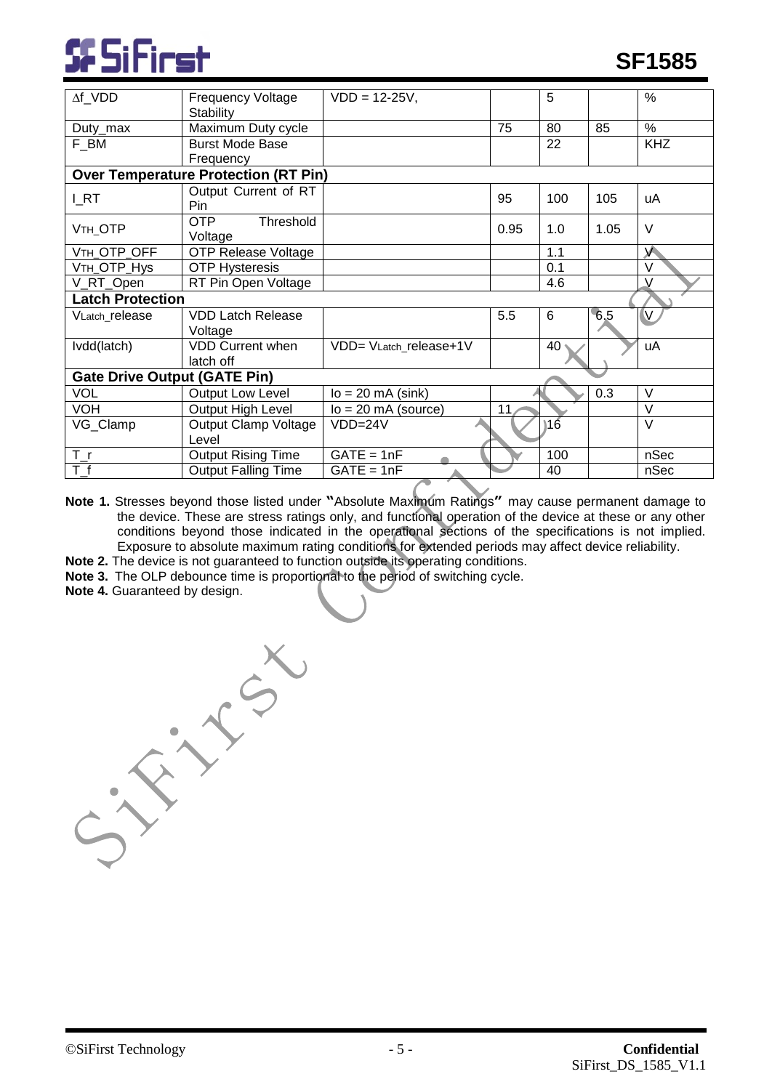

| $\Delta f$ VDD                      | <b>Frequency Voltage</b><br>Stability       | $VDD = 12-25V,$        |      | 5   |      | $\frac{0}{0}$ |  |
|-------------------------------------|---------------------------------------------|------------------------|------|-----|------|---------------|--|
| Duty_max                            | Maximum Duty cycle                          |                        | 75   | 80  | 85   | %             |  |
| F_BM                                | <b>Burst Mode Base</b>                      |                        |      | 22  |      | <b>KHZ</b>    |  |
|                                     | Frequency                                   |                        |      |     |      |               |  |
|                                     | <b>Over Temperature Protection (RT Pin)</b> |                        |      |     |      |               |  |
| <b>LRT</b>                          | Output Current of RT<br>Pin                 |                        | 95   | 100 | 105  | uA            |  |
| V <sub>TH_OTP</sub>                 | <b>OTP</b><br>Threshold<br>Voltage          |                        | 0.95 | 1.0 | 1.05 | V             |  |
| VTH_OTP_OFF                         | <b>OTP Release Voltage</b>                  |                        |      | 1.1 |      | $\mathsf{V}$  |  |
| VTH_OTP_Hys                         | <b>OTP Hysteresis</b>                       |                        |      | 0.1 |      | $\vee$        |  |
| V_RT_Open                           | RT Pin Open Voltage                         |                        |      | 4.6 |      |               |  |
| <b>Latch Protection</b>             |                                             |                        |      |     |      |               |  |
| VLatch_release                      | <b>VDD Latch Release</b>                    |                        | 5.5  | 6   | 6.5  | V             |  |
|                                     | Voltage                                     |                        |      |     |      |               |  |
| Ivdd(latch)                         | <b>VDD Current when</b>                     | VDD= VLatch_release+1V |      | 40  |      | uA            |  |
|                                     | latch off                                   |                        |      |     |      |               |  |
| <b>Gate Drive Output (GATE Pin)</b> |                                             |                        |      |     |      |               |  |
| <b>VOL</b>                          | <b>Output Low Level</b>                     | $lo = 20$ mA (sink)    |      |     | 0.3  | $\vee$        |  |
| <b>VOH</b>                          | Output High Level                           | $lo = 20$ mA (source)  | 11   |     |      | $\vee$        |  |
| VG_Clamp                            | Output Clamp Voltage                        | $VDD=24V$              |      | 16  |      | $\vee$        |  |
|                                     | Level                                       |                        |      |     |      |               |  |
| $T_{r}$                             | <b>Output Rising Time</b>                   | $GATE = 1nF$           |      | 100 |      | nSec          |  |
| $\overline{T}$ f                    | <b>Output Falling Time</b>                  | $GATE = 1nF$           |      | 40  |      | nSec          |  |

**Note 1.** Stresses beyond those listed under **"**Absolute Maximum Ratings**"** may cause permanent damage to the device. These are stress ratings only, and functional operation of the device at these or any other conditions beyond those indicated in the operational sections of the specifications is not implied. Exposure to absolute maximum rating conditions for extended periods may affect device reliability.

- **Note 2.** The device is not guaranteed to function outside its operating conditions.
- **Note 3.** The OLP debounce time is proportional to the period of switching cycle.
- **Note 4.** Guaranteed by design.

CSN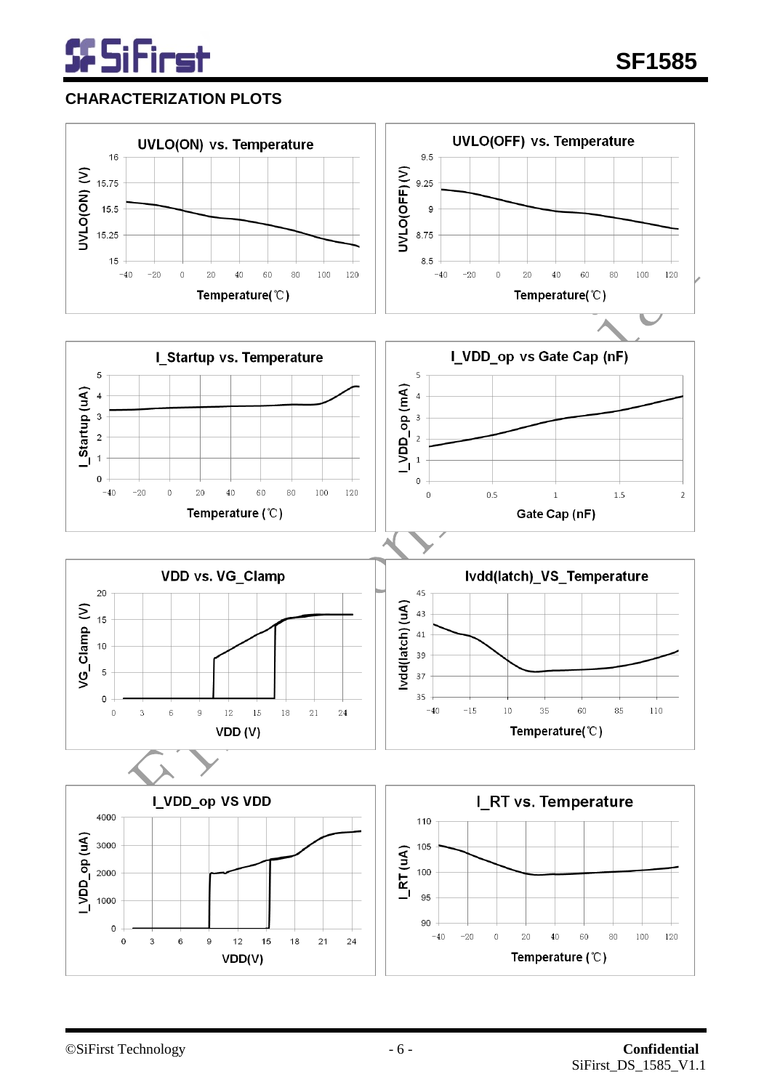

# **CHARACTERIZATION PLOTS**

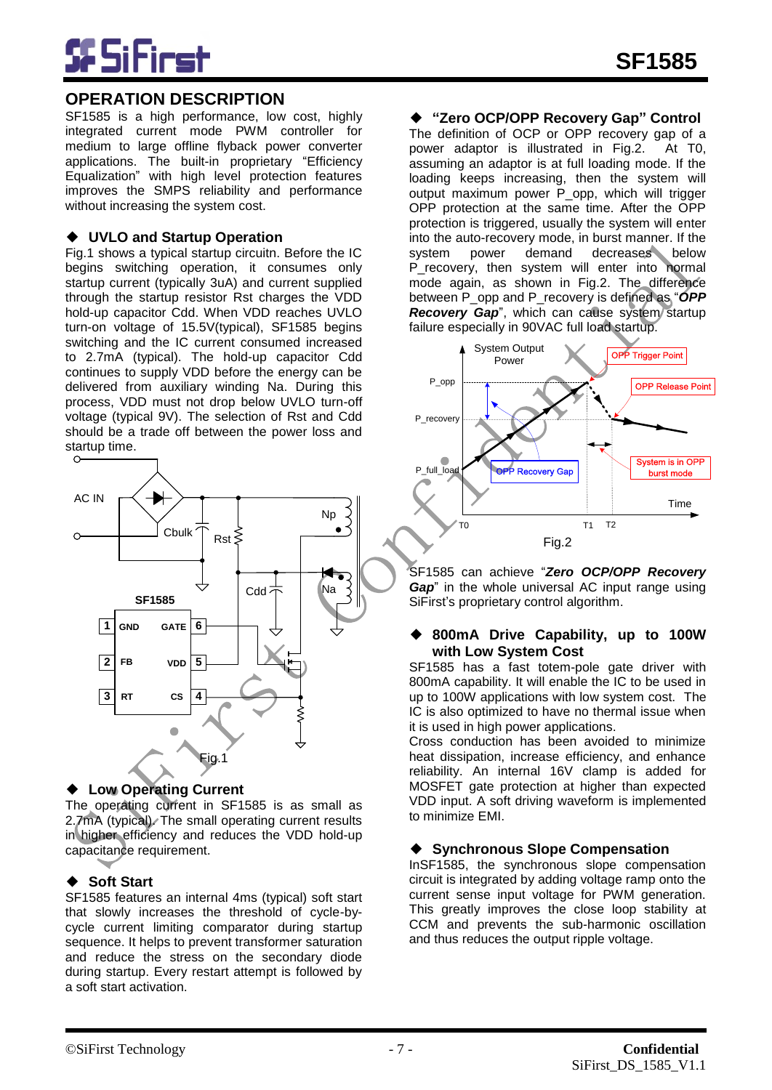

# **OPERATION DESCRIPTION**

SF1585 is a high performance, low cost, highly integrated current mode PWM controller for medium to large offline flyback power converter applications. The built-in proprietary "Efficiency Equalization" with high level protection features improves the SMPS reliability and performance without increasing the system cost.

#### ◆ **UVLO and Startup Operation**

Fig.1 shows a typical startup circuitn. Before the IC begins switching operation, it consumes only startup current (typically 3uA) and current supplied through the startup resistor Rst charges the VDD hold-up capacitor Cdd. When VDD reaches UVLO turn-on voltage of 15.5V(typical), SF1585 begins switching and the IC current consumed increased to 2.7mA (typical). The hold-up capacitor Cdd continues to supply VDD before the energy can be delivered from auxiliary winding Na. During this process, VDD must not drop below UVLO turn-off voltage (typical 9V). The selection of Rst and Cdd should be a trade off between the power loss and startup time.



#### ◆ **Low Operating Current**

The operating current in SF1585 is as small as 2.7mA (typical). The small operating current results in higher efficiency and reduces the VDD hold-up capacitance requirement.

#### ◆ **Soft Start**

SF1585 features an internal 4ms (typical) soft start that slowly increases the threshold of cycle-bycycle current limiting comparator during startup sequence. It helps to prevent transformer saturation and reduce the stress on the secondary diode during startup. Every restart attempt is followed by a soft start activation.

#### ◆ **"Zero OCP/OPP Recovery Gap" Control**

The definition of OCP or OPP recovery gap of a power adaptor is illustrated in Fig.2. At T0, assuming an adaptor is at full loading mode. If the loading keeps increasing, then the system will output maximum power P\_opp, which will trigger OPP protection at the same time. After the OPP protection is triggered, usually the system will enter into the auto-recovery mode, in burst manner. If the system power demand decreases below P\_recovery, then system will enter into normal mode again, as shown in Fig.2. The difference between P\_opp and P\_recovery is defined as "*OPP*  **Recovery Gap**", which can cause system startup failure especially in 90VAC full load startup.



SF1585 can achieve "*Zero OCP/OPP Recovery Gap*" in the whole universal AC input range using SiFirst's proprietary control algorithm.

#### ◆ **800mA Drive Capability, up to 100W with Low System Cost**

SF1585 has a fast totem-pole gate driver with 800mA capability. It will enable the IC to be used in up to 100W applications with low system cost. The IC is also optimized to have no thermal issue when it is used in high power applications.

Cross conduction has been avoided to minimize heat dissipation, increase efficiency, and enhance reliability. An internal 16V clamp is added for MOSFET gate protection at higher than expected VDD input. A soft driving waveform is implemented to minimize EMI.

#### ◆ **Synchronous Slope Compensation**

InSF1585, the synchronous slope compensation circuit is integrated by adding voltage ramp onto the current sense input voltage for PWM generation. This greatly improves the close loop stability at CCM and prevents the sub-harmonic oscillation and thus reduces the output ripple voltage.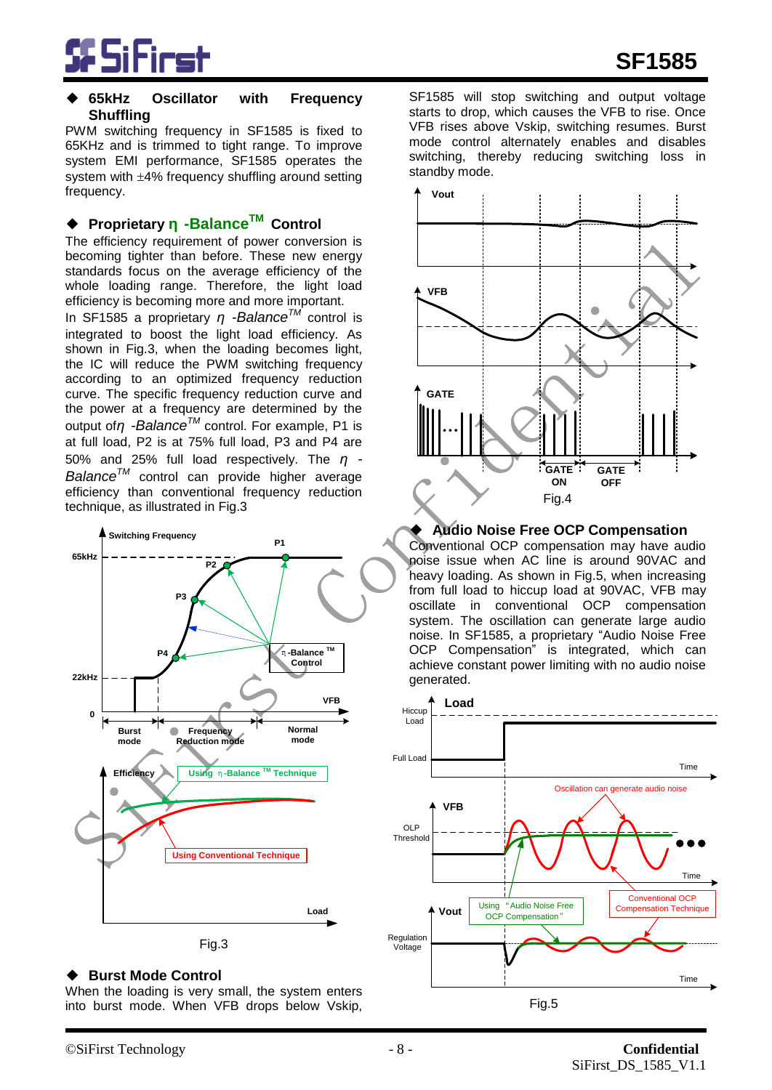

#### ◆ **65kHz Oscillator with Frequency Shuffling**

PWM switching frequency in SF1585 is fixed to 65KHz and is trimmed to tight range. To improve system EMI performance, SF1585 operates the system with  $\pm 4\%$  frequency shuffling around setting frequency.

### ◆ **Proprietary η -BalanceTM Control**

The efficiency requirement of power conversion is becoming tighter than before. These new energy standards focus on the average efficiency of the whole loading range. Therefore, the light load efficiency is becoming more and more important.

In SF1585 a proprietary *η -BalanceTM* control is integrated to boost the light load efficiency. As shown in Fig.3, when the loading becomes light, the IC will reduce the PWM switching frequency according to an optimized frequency reduction curve. The specific frequency reduction curve and the power at a frequency are determined by the output of*η -BalanceTM* control. For example, P1 is at full load, P2 is at 75% full load, P3 and P4 are 50% and 25% full load respectively. The *η - BalanceTM* control can provide higher average efficiency than conventional frequency reduction technique, as illustrated in Fig.3



#### **Burst Mode Control**

When the loading is very small, the system enters into burst mode. When VFB drops below Vskip,

SF1585 will stop switching and output voltage starts to drop, which causes the VFB to rise. Once VFB rises above Vskip, switching resumes. Burst mode control alternately enables and disables switching, thereby reducing switching loss in standby mode.



#### **Audio Noise Free OCP Compensation**

Conventional OCP compensation may have audio noise issue when AC line is around 90VAC and heavy loading. As shown in Fig.5, when increasing from full load to hiccup load at 90VAC, VFB may oscillate in conventional OCP compensation system. The oscillation can generate large audio noise. In SF1585, a proprietary "Audio Noise Free OCP Compensation" is integrated, which can achieve constant power limiting with no audio noise generated.

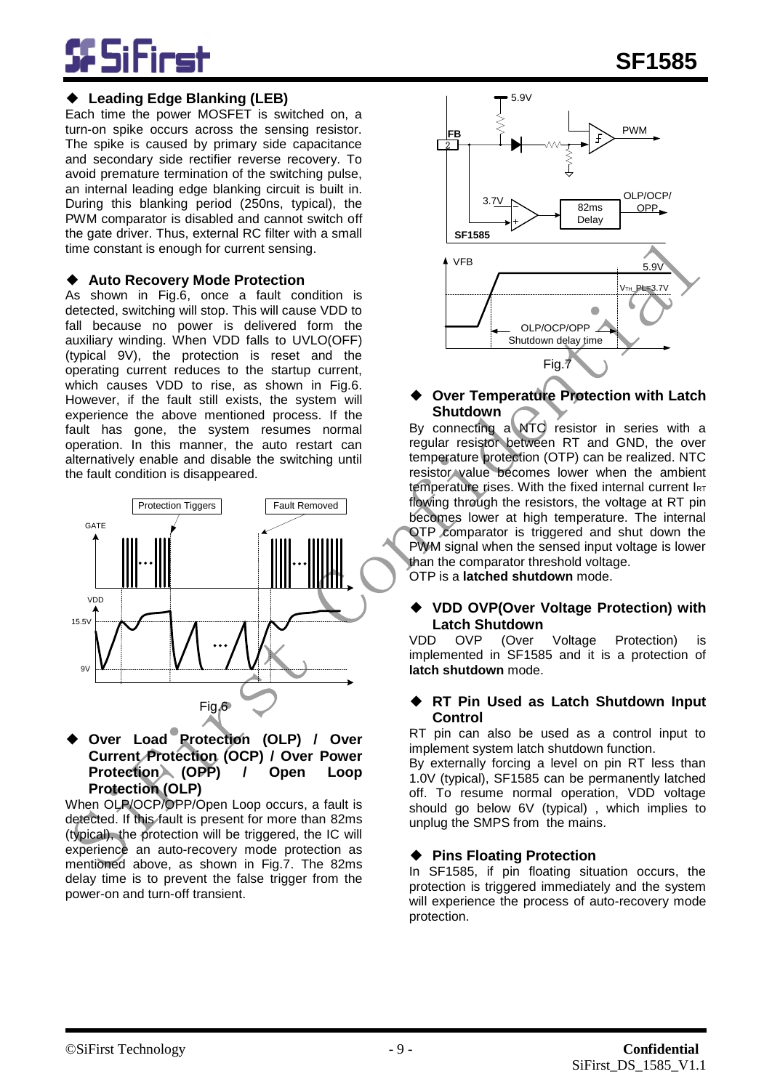### ◆ **Leading Edge Blanking (LEB)**

Each time the power MOSFET is switched on, a turn-on spike occurs across the sensing resistor. The spike is caused by primary side capacitance and secondary side rectifier reverse recovery. To avoid premature termination of the switching pulse, an internal leading edge blanking circuit is built in. During this blanking period (250ns, typical), the PWM comparator is disabled and cannot switch off the gate driver. Thus, external RC filter with a small time constant is enough for current sensing.

#### ◆ **Auto Recovery Mode Protection**

As shown in Fig.6, once a fault condition is detected, switching will stop. This will cause VDD to fall because no power is delivered form the auxiliary winding. When VDD falls to UVLO(OFF) (typical 9V), the protection is reset and the operating current reduces to the startup current, which causes VDD to rise, as shown in Fig.6. However, if the fault still exists, the system will experience the above mentioned process. If the fault has gone, the system resumes normal operation. In this manner, the auto restart can alternatively enable and disable the switching until the fault condition is disappeared.



◆ **Over Load Protection (OLP) / Over Current Protection (OCP) / Over Power Protection (OPP) / Open Loop Protection (OLP)**

When OLP/OCP/OPP/Open Loop occurs, a fault is detected. If this fault is present for more than 82ms (typical), the protection will be triggered, the IC will experience an auto-recovery mode protection as mentioned above, as shown in Fig.7. The 82ms delay time is to prevent the false trigger from the power-on and turn-off transient.



#### **Over Temperature Protection with Latch Shutdown**

By connecting a NTC resistor in series with a regular resistor between RT and GND, the over temperature protection (OTP) can be realized. NTC resistor value becomes lower when the ambient temperature rises. With the fixed internal current IRT flowing through the resistors, the voltage at RT pin becomes lower at high temperature. The internal OTP comparator is triggered and shut down the PWM signal when the sensed input voltage is lower than the comparator threshold voltage.

OTP is a **latched shutdown** mode.

# ◆ **VDD OVP(Over Voltage Protection) with**

**Latch Shutdown**<br>D OVP (Over VDD OVP (Over Voltage Protection) is implemented in SF1585 and it is a protection of **latch shutdown** mode.

#### **RT Pin Used as Latch Shutdown Input Control**

RT pin can also be used as a control input to implement system latch shutdown function.

By externally forcing a level on pin RT less than 1.0V (typical), SF1585 can be permanently latched off. To resume normal operation, VDD voltage should go below 6V (typical) , which implies to unplug the SMPS from the mains.

### ◆ **Pins Floating Protection**

In SF1585, if pin floating situation occurs, the protection is triggered immediately and the system will experience the process of auto-recovery mode protection.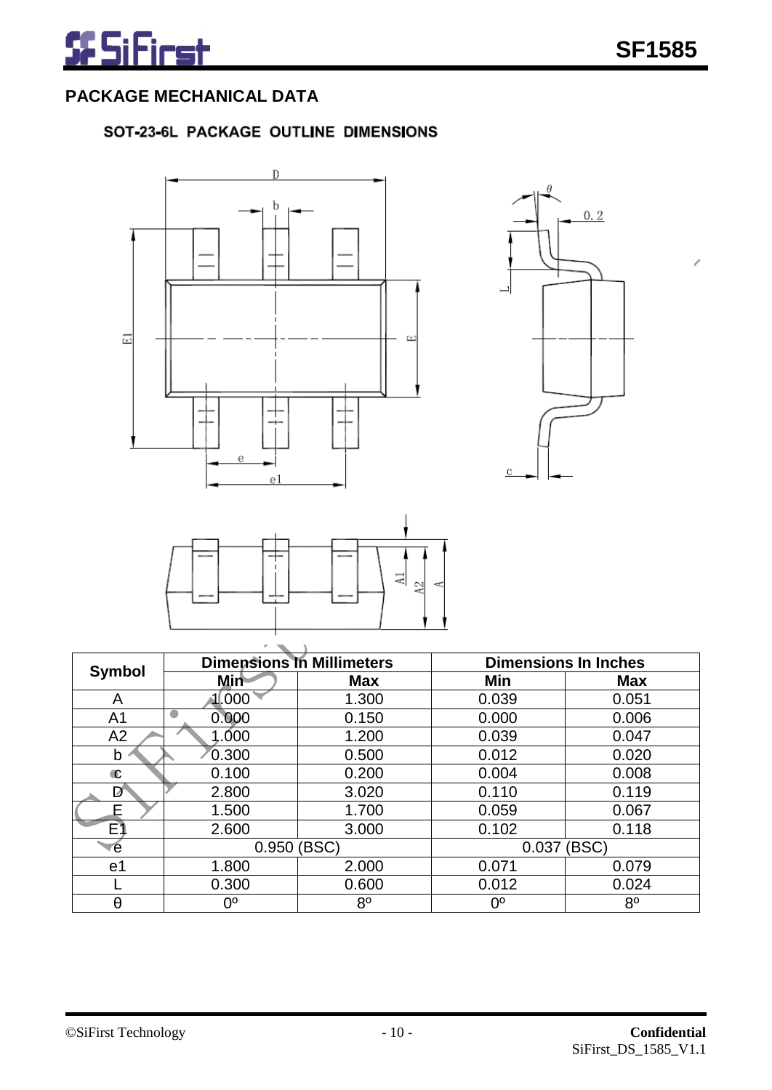# **PACKAGE MECHANICAL DATA**

# SOT-23-6L PACKAGE OUTLINE DIMENSIONS







| <b>Symbol</b>  |               | <b>Dimensions In Millimeters</b> | <b>Dimensions In Inches</b> |                |  |
|----------------|---------------|----------------------------------|-----------------------------|----------------|--|
|                | <b>Min</b>    | <b>Max</b>                       | Min                         | <b>Max</b>     |  |
| A              | 11.000        | 1.300                            | 0.039                       | 0.051          |  |
| A <sub>1</sub> | 0.000         | 0.150                            | 0.000                       | 0.006          |  |
| A <sub>2</sub> | 1.000         | 1.200                            | 0.039                       | 0.047          |  |
| b              | 0.300         | 0.500                            | 0.012                       | 0.020          |  |
| $\mathbf c$    | 0.100         | 0.200                            | 0.004                       | 0.008          |  |
| D              | 2.800         | 3.020                            | 0.110                       | 0.119          |  |
| F              | 1.500         | 1.700                            | 0.059                       | 0.067          |  |
| E١             | 2.600         | 3.000                            | 0.102                       | 0.118          |  |
| e              | $0.950$ (BSC) |                                  | 0.037                       | (BSC)          |  |
| e1             | 1.800         | 2.000                            | 0.071                       | 0.079          |  |
|                | 0.300         | 0.600                            | 0.012                       | 0.024          |  |
| θ              | 0°            | 8 <sup>0</sup>                   | ი∘                          | 8 <sup>0</sup> |  |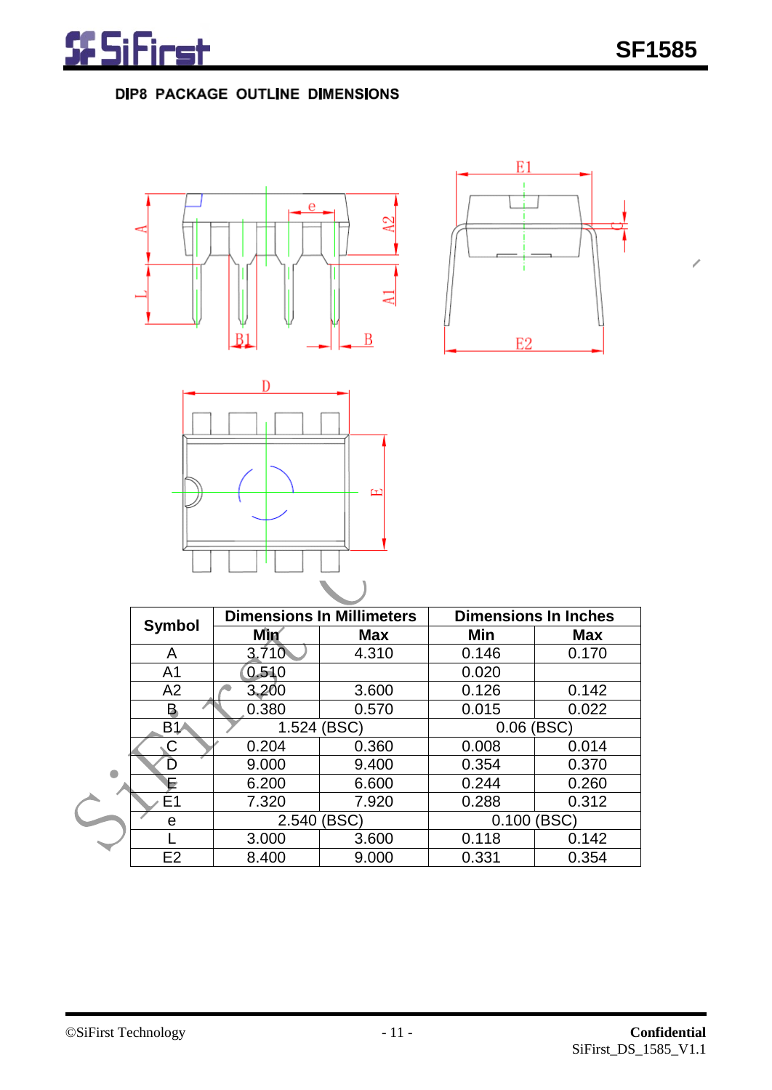Ž

# DIP8 PACKAGE OUTLINE DIMENSIONS







|                |       | <b>Dimensions In Millimeters</b> | <b>Dimensions In Inches</b> |            |  |
|----------------|-------|----------------------------------|-----------------------------|------------|--|
| <b>Symbol</b>  | Mìn   | <b>Max</b>                       |                             | <b>Max</b> |  |
| A              | 3.710 | 4.310                            | 0.146                       | 0.170      |  |
| A <sub>1</sub> | 0.510 |                                  | 0.020                       |            |  |
| A2             | 3,200 | 3.600                            | 0.126                       | 0.142      |  |
| Β              | 0.380 | 0.570                            | 0.015                       | 0.022      |  |
| <b>B1A</b>     | 1.524 | (BSC)                            | (BSC)<br>0.06               |            |  |
|                | 0.204 | 0.360                            | 0.008                       | 0.014      |  |
| D              | 9.000 | 9.400                            | 0.354                       | 0.370      |  |
| E              | 6.200 | 6.600                            | 0.244                       | 0.260      |  |
| E1             | 7.320 | 7.920                            | 0.288                       | 0.312      |  |
| е              | 2.540 | (BSC)                            | 0.100                       | (BSC)      |  |
|                | 3.000 | 3.600                            | 0.118                       | 0.142      |  |
| E <sub>2</sub> | 8.400 | 9.000                            | 0.331                       | 0.354      |  |